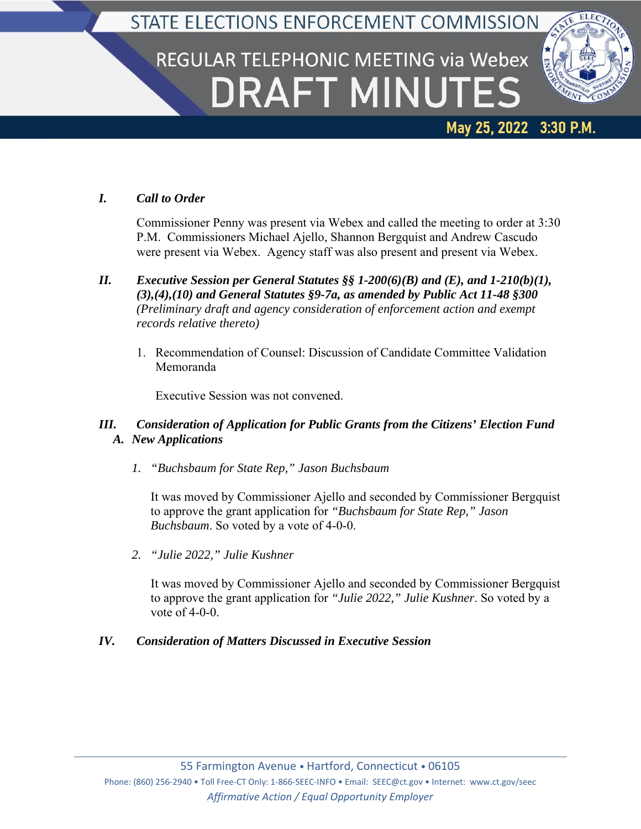## STATE ELECTIONS ENFORCEMENT COMMISSION

# REGULAR TELEPHONIC MEETING via Webex **DRAFT MINUTES**



## May 25, 2022 3:30 P.M.

### *I. Call to Order*

Commissioner Penny was present via Webex and called the meeting to order at 3:30 P.M. Commissioners Michael Ajello, Shannon Bergquist and Andrew Cascudo were present via Webex. Agency staff was also present and present via Webex.

- *II. Executive Session per General Statutes §§ 1-200(6)(B) and (E), and 1-210(b)(1), (3),(4),(10) and General Statutes §9-7a, as amended by Public Act 11-48 §300 (Preliminary draft and agency consideration of enforcement action and exempt records relative thereto)*
	- 1. Recommendation of Counsel: Discussion of Candidate Committee Validation Memoranda

Executive Session was not convened.

#### *III. Consideration of Application for Public Grants from the Citizens' Election Fund A. New Applications*

*1. "Buchsbaum for State Rep," Jason Buchsbaum*

It was moved by Commissioner Ajello and seconded by Commissioner Bergquist to approve the grant application for *"Buchsbaum for State Rep," Jason Buchsbaum*. So voted by a vote of 4-0-0.

*2. "Julie 2022," Julie Kushner*

It was moved by Commissioner Ajello and seconded by Commissioner Bergquist to approve the grant application for *"Julie 2022," Julie Kushner*. So voted by a vote of 4-0-0.

#### *IV. Consideration of Matters Discussed in Executive Session*